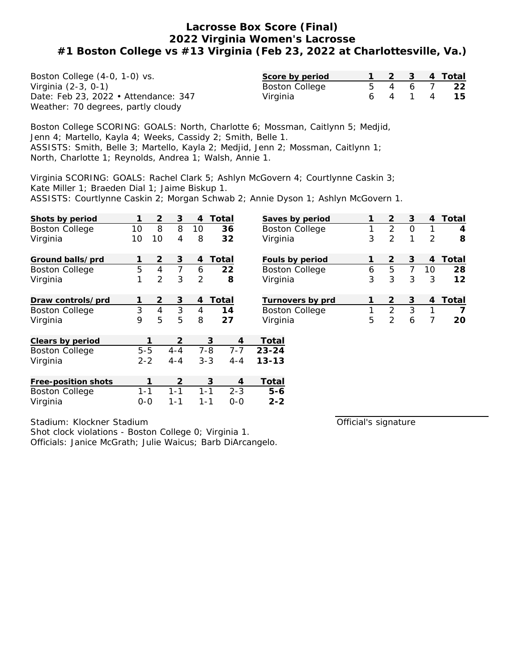| Boston College (4-0, 1-0) vs.        | Score by period       |         |         | 1 2 3 4 Total |
|--------------------------------------|-----------------------|---------|---------|---------------|
| Virginia (2-3, 0-1)                  | <b>Boston College</b> | 5 4 6 7 |         | -22           |
| Date: Feb 23, 2022 • Attendance: 347 | Virginia              |         | 6 4 1 4 | -15           |
| Weather: 70 degrees, partly cloudy   |                       |         |         |               |

Boston College SCORING: GOALS: North, Charlotte 6; Mossman, Caitlynn 5; Medjid, Jenn 4; Martello, Kayla 4; Weeks, Cassidy 2; Smith, Belle 1. ASSISTS: Smith, Belle 3; Martello, Kayla 2; Medjid, Jenn 2; Mossman, Caitlynn 1; North, Charlotte 1; Reynolds, Andrea 1; Walsh, Annie 1.

Virginia SCORING: GOALS: Rachel Clark 5; Ashlyn McGovern 4; Courtlynne Caskin 3; Kate Miller 1; Braeden Dial 1; Jaime Biskup 1. ASSISTS: Courtlynne Caskin 2; Morgan Schwab 2; Annie Dyson 1; Ashlyn McGovern 1.

| Shots by period       | 1       | 2              | 3       | $\overline{4}$ | Total              | Saves by period         | 1 | $\overline{2}$ | 3              | 4              | Total          |
|-----------------------|---------|----------------|---------|----------------|--------------------|-------------------------|---|----------------|----------------|----------------|----------------|
| <b>Boston College</b> | 10      | 8              | 8       | 10             | 36                 | <b>Boston College</b>   | 1 | 2              | $\Omega$       | 1              | 4              |
| Virginia              | 10      | 10             | 4       | 8              | 32                 | Virginia                | 3 | 2              | 1              | $\overline{2}$ | 8              |
| Ground balls/prd      | 1       | 2              | 3       | 4              | Total              | Fouls by period         |   | $\overline{2}$ | 3              | 4              | Total          |
| <b>Boston College</b> | 5       | $\overline{4}$ | 7       | 6              | 22                 | <b>Boston College</b>   | 6 | 5              | $\overline{7}$ | 10             | 28             |
| Virginia              | 1       | 2              | 3       | 2              | 8                  | Virginia                | 3 | 3              | 3              | 3              | 12             |
| Draw controls/prd     | 1       | $\overline{2}$ | 3       | 4              | Total              | Turnovers by prd        | 1 | $\overline{2}$ | 3              | $\overline{4}$ | Total          |
| <b>Boston College</b> | 3       | $\overline{4}$ | 3       | $\overline{4}$ | 14                 | <b>Boston College</b>   | 1 | $\overline{2}$ | 3              | 1              | $\overline{7}$ |
| Virginia              | 9       | 5              | 5       | 8              | 27                 | Virginia                | 5 | $\overline{2}$ | 6              | 7              | 20             |
| Clears by period      |         |                | 2       |                | 3                  | Total<br>$\overline{4}$ |   |                |                |                |                |
| <b>Boston College</b> | $5 - 5$ |                | $4 - 4$ |                | $7 - 7$<br>$7 - 8$ | $23 - 24$               |   |                |                |                |                |
| Virginia              | $2 - 2$ |                | $4 - 4$ |                | $3 - 3$<br>$4 - 4$ | $13 - 13$               |   |                |                |                |                |
| Free-position shots   |         |                | 2       |                | 3                  | Total<br>4              |   |                |                |                |                |
| <b>Boston College</b> | $1 - 1$ |                | $1 - 1$ | $1 - 1$        | $2 - 3$            | $5 - 6$                 |   |                |                |                |                |
| Virginia              | $0 - 0$ |                | 1-1     | $1 - 1$        | $0-0$              | $2 - 2$                 |   |                |                |                |                |

Stadium: Klockner Stadium

Shot clock violations - Boston College 0; Virginia 1.

Officials: Janice McGrath; Julie Waicus; Barb DiArcangelo.

Official's signature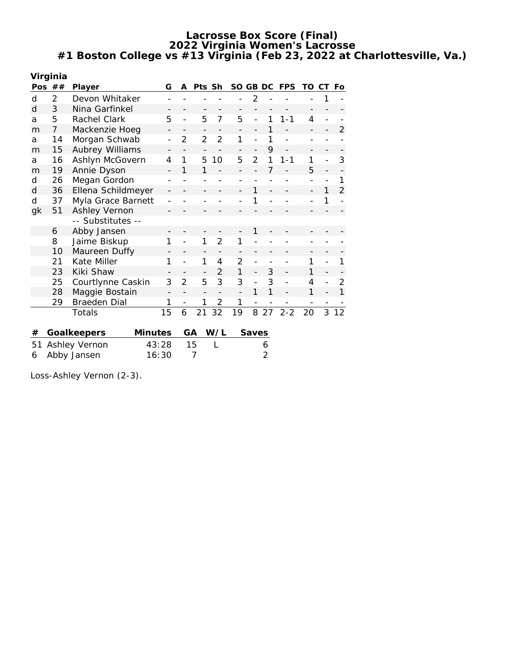|    | Virginia             |                               |                |                |                |                |                |                          |    |            |    |    |                |
|----|----------------------|-------------------------------|----------------|----------------|----------------|----------------|----------------|--------------------------|----|------------|----|----|----------------|
|    | Pos $##$             | Player                        | G              | A              | Pts Sh         |                | SO GB DC       |                          |    | <b>FPS</b> | TO | CТ | Fo             |
| d  | 2                    | Devon Whitaker                |                |                |                |                |                | $\overline{2}$           |    |            |    | 1  |                |
| d  | 3                    | Nina Garfinkel                |                |                |                |                |                |                          |    |            |    |    |                |
| a  | 5                    | Rachel Clark                  | 5              |                | 5              | 7              | 5              | $\overline{a}$           | 1  | $1 - 1$    | 4  |    |                |
| m  | $\overline{7}$       | Mackenzie Hoeg                |                |                |                |                |                |                          | 1  |            |    |    | 2              |
| a  | 14                   | Morgan Schwab                 |                | $\overline{2}$ | $\overline{2}$ | $\overline{2}$ | 1              |                          | 1  |            |    |    |                |
| m  | 15                   | Aubrey Williams               |                |                |                |                |                | $\overline{\phantom{a}}$ | 9  |            |    |    |                |
| a  | 16                   | Ashlyn McGovern               | $\overline{4}$ | 1              | 5              | 10             | 5              | $\overline{2}$           | 1  | 1-1        | 1  |    | 3              |
| m  | 19                   | Annie Dyson                   |                | 1              | 1              |                |                |                          | 7  |            | 5  |    |                |
| d  | 26                   | Megan Gordon                  |                |                |                |                |                |                          |    |            |    |    | 1              |
| d  | 36                   | Ellena Schildmeyer            |                |                |                |                |                | 1                        |    |            |    | 1  | $\overline{2}$ |
| d  | 37                   | Myla Grace Barnett            |                |                |                |                |                | 1                        |    |            |    | 1  |                |
| gk | 51                   | Ashley Vernon                 |                |                |                |                |                |                          |    |            |    |    |                |
|    |                      | -- Substitutes --             |                |                |                |                |                |                          |    |            |    |    |                |
|    | 6                    | Abby Jansen                   |                |                |                |                |                | 1                        |    |            |    |    |                |
|    | 8                    | Jaime Biskup                  | 1              |                | 1              | $\overline{2}$ | 1              |                          |    |            |    |    |                |
|    | 10                   | Maureen Duffy                 |                |                |                |                |                |                          |    |            |    |    |                |
|    | 21                   | Kate Miller                   | 1              |                | 1              | 4              | $\overline{2}$ |                          |    |            | 1  |    | 1              |
|    | 23                   | Kiki Shaw                     |                |                |                | $\mathfrak{D}$ | 1              |                          | 3  |            | 1  |    |                |
|    | 25                   | Courtlynne Caskin             | 3              | $\overline{2}$ | 5              | 3              | 3              | $\overline{a}$           | 3  |            | 4  |    | 2              |
|    | 28                   | Maggie Bostain                |                |                |                |                |                | 1                        | 1  |            | 1  |    | 1              |
|    | 29                   | Braeden Dial                  | 1              |                | 1              | 2              | 1              |                          |    |            |    |    |                |
|    |                      | Totals                        | 15             | 6              | 21             | 32             | 19             | 8                        | 27 | $2 - 2$    | 20 | 3  | 12             |
|    |                      |                               |                |                |                |                |                |                          |    |            |    |    |                |
| #  |                      | <b>Minutes</b><br>Goalkeepers |                | GA             |                | W/L            |                | Saves                    |    |            |    |    |                |
| 51 |                      | Ashley Vernon                 | 43:28          |                | 15             |                |                |                          | 6  |            |    |    |                |
| 6  | 16:30<br>Abby Jansen |                               |                |                | 7              |                |                |                          | 2  |            |    |    |                |

Loss-Ashley Vernon (2-3).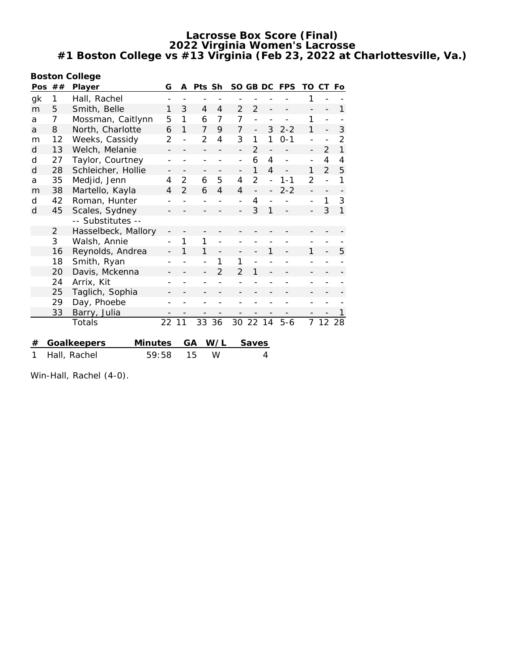| <b>Boston College</b> |          |                               |                |                |        |                |                |                          |                          |                          |                |                          |              |
|-----------------------|----------|-------------------------------|----------------|----------------|--------|----------------|----------------|--------------------------|--------------------------|--------------------------|----------------|--------------------------|--------------|
|                       | Pos $##$ | Player                        | G              | A              | Pts Sh |                |                | SO GB DC                 |                          | <b>FPS</b>               | TO             | CТ                       | Fo           |
| gk                    | 1        | Hall, Rachel                  |                |                |        |                |                |                          |                          |                          | 1              |                          |              |
| m                     | 5        | Smith, Belle                  | 1              | 3              | 4      | $\overline{4}$ | 2              | $\overline{2}$           |                          |                          |                |                          | 1            |
| a                     | 7        | Mossman, Caitlynn             | 5              | 1              | 6      | 7              | $\overline{7}$ | $\overline{a}$           |                          |                          | 1              |                          |              |
| a                     | 8        | North, Charlotte              | 6              | 1              | 7      | 9              | 7              | $\overline{\phantom{0}}$ | 3                        | $2 - 2$                  | 1              | $\overline{a}$           | 3            |
| m                     | 12       | Weeks, Cassidy                | 2              |                | 2      | 4              | 3              | 1                        | 1                        | $0 - 1$                  |                |                          | 2            |
| d                     | 13       | Welch, Melanie                |                |                |        |                |                | $\mathfrak{D}$           |                          |                          |                | 2                        | $\mathbf{1}$ |
| d                     | 27       | Taylor, Courtney              |                |                |        |                | $\overline{a}$ | 6                        | 4                        | $\overline{\phantom{0}}$ |                | 4                        | 4            |
| d                     | 28       | Schleicher, Hollie            |                |                |        |                |                | 1                        | 4                        |                          | 1              | $\overline{2}$           | 5            |
| a                     | 35       | Medjid, Jenn                  | 4              | $\overline{2}$ | 6      | 5              | 4              | $\overline{2}$           | $\overline{a}$           | $1 - 1$                  | $\overline{2}$ | $\overline{a}$           | 1            |
| m                     | 38       | Martello, Kayla               | $\overline{4}$ | $\overline{2}$ | 6      | $\overline{4}$ | $\overline{4}$ |                          | $\overline{\phantom{0}}$ | $2 - 2$                  | $\overline{a}$ | $\overline{\phantom{0}}$ |              |
| d                     | 42       | Roman, Hunter                 |                |                |        |                |                | 4                        |                          |                          | $\overline{a}$ | 1                        | 3            |
| d                     | 45       | Scales, Sydney                |                |                |        |                |                | 3                        |                          |                          |                | 3                        | $\mathbf{1}$ |
|                       |          | -- Substitutes --             |                |                |        |                |                |                          |                          |                          |                |                          |              |
|                       | 2        | Hasselbeck, Mallory           |                |                |        |                |                |                          |                          |                          |                |                          |              |
|                       | 3        | Walsh, Annie                  |                | 1              | 1      |                |                |                          |                          |                          |                |                          |              |
|                       | 16       | Reynolds, Andrea              |                | 1              | 1      |                |                |                          | 1                        |                          | 1              |                          | 5            |
|                       | 18       | Smith, Ryan                   |                |                |        | 1              | 1              |                          |                          |                          |                |                          |              |
|                       | 20       | Davis, Mckenna                |                |                |        | $\mathfrak{D}$ | $\overline{2}$ | 1                        |                          |                          |                |                          |              |
|                       | 24       | Arrix, Kit                    |                |                |        |                |                |                          |                          |                          |                |                          |              |
|                       | 25       | Taglich, Sophia               |                |                |        |                |                |                          |                          |                          |                |                          |              |
|                       | 29       | Day, Phoebe                   |                |                |        |                |                |                          |                          |                          |                |                          |              |
|                       | 33       | Barry, Julia                  |                |                |        |                |                |                          |                          |                          |                |                          |              |
|                       |          | Totals                        | 22             | 11             | 33     | 36             | 30             | 22                       | 14                       | $5 - 6$                  | 7              | 12                       | 28           |
|                       |          |                               |                |                |        |                |                |                          |                          |                          |                |                          |              |
| #                     |          | Goalkeepers<br><b>Minutes</b> |                |                | GА     | W/L            |                | Saves                    |                          |                          |                |                          |              |
| 1                     |          | Hall, Rachel                  | 59:58          |                | 15     | W              |                |                          | 4                        |                          |                |                          |              |
|                       |          |                               |                |                |        |                |                |                          |                          |                          |                |                          |              |

Win-Hall, Rachel (4-0).